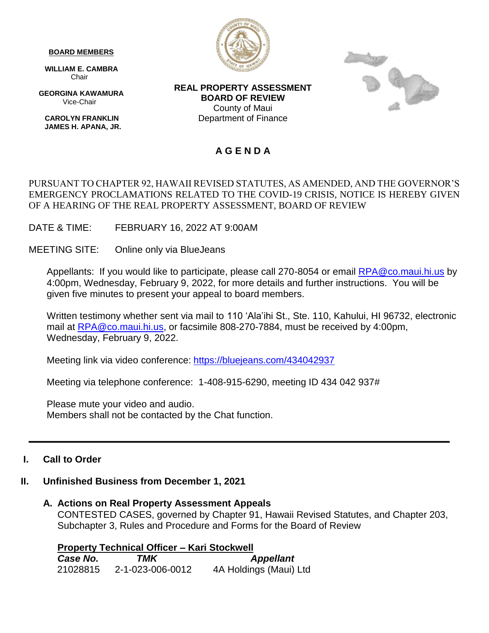#### **BOARD MEMBERS**

 **WILLIAM E. CAMBRA** Chair

 **GEORGINA KAWAMURA** Vice-Chair

 **CAROLYN FRANKLIN JAMES H. APANA, JR.**



**REAL PROPERTY ASSESSMENT BOARD OF REVIEW** County of Maui Department of Finance



# **A G E N D A**

### PURSUANT TO CHAPTER 92, HAWAII REVISED STATUTES, AS AMENDED, AND THE GOVERNOR'S EMERGENCY PROCLAMATIONS RELATED TO THE COVID-19 CRISIS, NOTICE IS HEREBY GIVEN OF A HEARING OF THE REAL PROPERTY ASSESSMENT, BOARD OF REVIEW

DATE & TIME: FEBRUARY 16, 2022 AT 9:00AM

MEETING SITE: Online only via BlueJeans

Appellants: If you would like to participate, please call 270-8054 or email **RPA@co.maui.hi.us** by 4:00pm, Wednesday, February 9, 2022, for more details and further instructions. You will be given five minutes to present your appeal to board members.

Written testimony whether sent via mail to 110 'Ala'ihi St., Ste. 110, Kahului, HI 96732, electronic mail at [RPA@co.maui.hi.us,](mailto:RPA@co.maui.hi.us) or facsimile 808-270-7884, must be received by 4:00pm, Wednesday, February 9, 2022.

Meeting link via video conference: <https://bluejeans.com/434042937>

Meeting via telephone conference: 1-408-915-6290, meeting ID 434 042 937#

Please mute your video and audio. Members shall not be contacted by the Chat function.

# **I. Call to Order**

# **II. Unfinished Business from December 1, 2021**

#### **A. Actions on Real Property Assessment Appeals**

CONTESTED CASES, governed by Chapter 91, Hawaii Revised Statutes, and Chapter 203, Subchapter 3, Rules and Procedure and Forms for the Board of Review

**\_\_\_\_\_\_\_\_\_\_\_\_\_\_\_\_\_\_\_\_\_\_\_\_\_\_\_\_\_\_\_\_\_\_\_\_\_\_\_\_\_\_\_\_\_\_\_\_\_\_\_\_\_\_\_\_\_\_\_\_\_\_\_\_\_\_\_\_\_\_\_\_\_\_\_\_\_\_\_**

**Property Technical Officer – Kari Stockwell** *Case No. TMK Appellant* 21028815 2-1-023-006-0012 4A Holdings (Maui) Ltd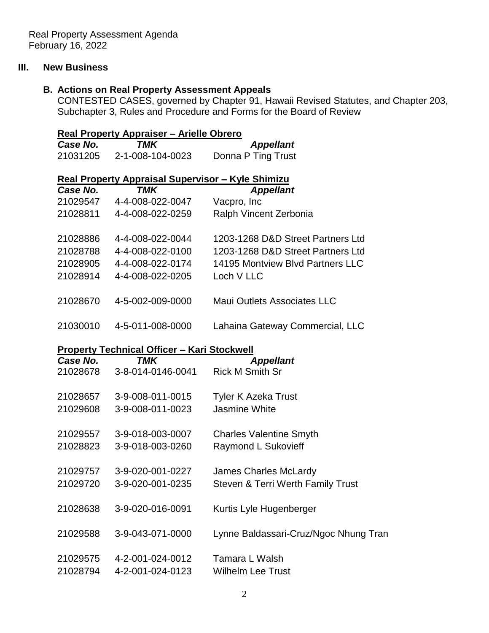# **III. New Business**

# **B. Actions on Real Property Assessment Appeals**

CONTESTED CASES, governed by Chapter 91, Hawaii Revised Statutes, and Chapter 203, Subchapter 3, Rules and Procedure and Forms for the Board of Review

| Real Property Appraiser - Arielle Obrero                 |                   |                                       |  |
|----------------------------------------------------------|-------------------|---------------------------------------|--|
| Case No.                                                 | TMK               | <b>Appellant</b>                      |  |
| 21031205                                                 | 2-1-008-104-0023  | Donna P Ting Trust                    |  |
| <b>Real Property Appraisal Supervisor - Kyle Shimizu</b> |                   |                                       |  |
| Case No.                                                 | TMK               | <b>Appellant</b>                      |  |
| 21029547                                                 | 4-4-008-022-0047  | Vacpro, Inc                           |  |
| 21028811                                                 | 4-4-008-022-0259  | Ralph Vincent Zerbonia                |  |
| 21028886                                                 | 4-4-008-022-0044  | 1203-1268 D&D Street Partners Ltd     |  |
| 21028788                                                 | 4-4-008-022-0100  | 1203-1268 D&D Street Partners Ltd     |  |
| 21028905                                                 | 4-4-008-022-0174  | 14195 Montview Blvd Partners LLC      |  |
| 21028914                                                 | 4-4-008-022-0205  | Loch V LLC                            |  |
| 21028670                                                 | 4-5-002-009-0000  | Maui Outlets Associates LLC           |  |
| 21030010                                                 | 4-5-011-008-0000  | Lahaina Gateway Commercial, LLC       |  |
| <b>Property Technical Officer - Kari Stockwell</b>       |                   |                                       |  |
| Case No.                                                 | <b>TMK</b>        | <b>Appellant</b>                      |  |
| 21028678                                                 | 3-8-014-0146-0041 | <b>Rick M Smith Sr</b>                |  |
| 21028657                                                 | 3-9-008-011-0015  | <b>Tyler K Azeka Trust</b>            |  |
| 21029608                                                 | 3-9-008-011-0023  | <b>Jasmine White</b>                  |  |
| 21029557                                                 | 3-9-018-003-0007  | <b>Charles Valentine Smyth</b>        |  |
| 21028823                                                 | 3-9-018-003-0260  | Raymond L Sukovieff                   |  |
| 21029757                                                 | 3-9-020-001-0227  | <b>James Charles McLardy</b>          |  |
| 21029720                                                 | 3-9-020-001-0235  | Steven & Terri Werth Family Trust     |  |
| 21028638                                                 | 3-9-020-016-0091  | Kurtis Lyle Hugenberger               |  |
| 21029588                                                 | 3-9-043-071-0000  | Lynne Baldassari-Cruz/Ngoc Nhung Tran |  |
| 21029575                                                 | 4-2-001-024-0012  | Tamara L Walsh                        |  |
| 21028794                                                 | 4-2-001-024-0123  | <b>Wilhelm Lee Trust</b>              |  |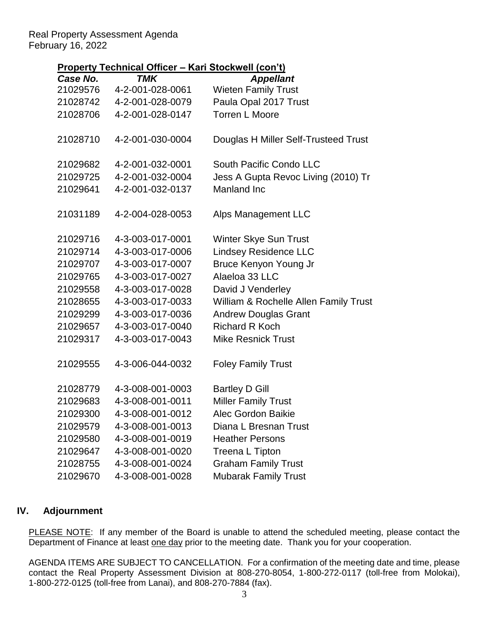### Real Property Assessment Agenda February 16, 2022

# **Property Technical Officer – Kari Stockwell (con't)**

| <u>.</u><br><u>,,,,,,,</u><br><u><b>HALL OLOGHNOLL LOUIL LI</b></u> |                  |                                       |
|---------------------------------------------------------------------|------------------|---------------------------------------|
| Case No.                                                            | <b>TMK</b>       | <b>Appellant</b>                      |
| 21029576                                                            | 4-2-001-028-0061 | <b>Wieten Family Trust</b>            |
| 21028742                                                            | 4-2-001-028-0079 | Paula Opal 2017 Trust                 |
| 21028706                                                            | 4-2-001-028-0147 | <b>Torren L Moore</b>                 |
|                                                                     |                  |                                       |
| 21028710                                                            | 4-2-001-030-0004 | Douglas H Miller Self-Trusteed Trust  |
|                                                                     |                  |                                       |
| 21029682                                                            | 4-2-001-032-0001 | South Pacific Condo LLC               |
| 21029725                                                            | 4-2-001-032-0004 | Jess A Gupta Revoc Living (2010) Tr   |
| 21029641                                                            | 4-2-001-032-0137 | Manland Inc                           |
|                                                                     |                  |                                       |
| 21031189                                                            | 4-2-004-028-0053 | Alps Management LLC                   |
|                                                                     |                  |                                       |
| 21029716                                                            | 4-3-003-017-0001 | Winter Skye Sun Trust                 |
| 21029714                                                            | 4-3-003-017-0006 | <b>Lindsey Residence LLC</b>          |
| 21029707                                                            | 4-3-003-017-0007 | Bruce Kenyon Young Jr                 |
| 21029765                                                            | 4-3-003-017-0027 | Alaeloa 33 LLC                        |
| 21029558                                                            | 4-3-003-017-0028 | David J Venderley                     |
| 21028655                                                            | 4-3-003-017-0033 | William & Rochelle Allen Family Trust |
| 21029299                                                            | 4-3-003-017-0036 | <b>Andrew Douglas Grant</b>           |
| 21029657                                                            | 4-3-003-017-0040 | <b>Richard R Koch</b>                 |
| 21029317                                                            | 4-3-003-017-0043 | <b>Mike Resnick Trust</b>             |
|                                                                     |                  |                                       |
| 21029555                                                            | 4-3-006-044-0032 | <b>Foley Family Trust</b>             |
|                                                                     |                  |                                       |
| 21028779                                                            | 4-3-008-001-0003 | <b>Bartley D Gill</b>                 |
| 21029683                                                            | 4-3-008-001-0011 | <b>Miller Family Trust</b>            |
| 21029300                                                            | 4-3-008-001-0012 | Alec Gordon Baikie                    |
| 21029579                                                            | 4-3-008-001-0013 | Diana L Bresnan Trust                 |
| 21029580                                                            | 4-3-008-001-0019 | <b>Heather Persons</b>                |
| 21029647                                                            | 4-3-008-001-0020 | Treena L Tipton                       |
| 21028755                                                            | 4-3-008-001-0024 | <b>Graham Family Trust</b>            |
| 21029670                                                            | 4-3-008-001-0028 | <b>Mubarak Family Trust</b>           |

# **IV. Adjournment**

PLEASE NOTE: If any member of the Board is unable to attend the scheduled meeting, please contact the Department of Finance at least one day prior to the meeting date. Thank you for your cooperation.

AGENDA ITEMS ARE SUBJECT TO CANCELLATION. For a confirmation of the meeting date and time, please contact the Real Property Assessment Division at 808-270-8054, 1-800-272-0117 (toll-free from Molokai), 1-800-272-0125 (toll-free from Lanai), and 808-270-7884 (fax).